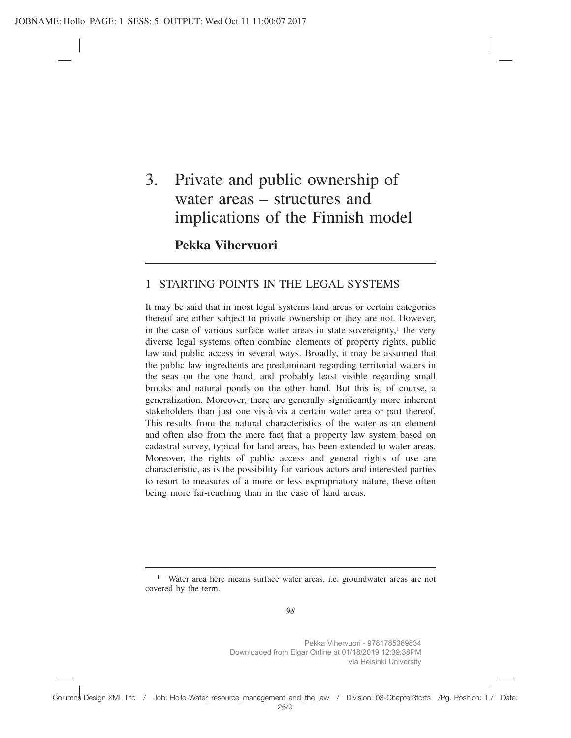# 3. Private and public ownership of water areas – structures and implications of the Finnish model

**Pekka Vihervuori**

## 1 STARTING POINTS IN THE LEGAL SYSTEMS

It may be said that in most legal systems land areas or certain categories thereof are either subject to private ownership or they are not. However, in the case of various surface water areas in state sovereignty, $<sup>1</sup>$  the very</sup> diverse legal systems often combine elements of property rights, public law and public access in several ways. Broadly, it may be assumed that the public law ingredients are predominant regarding territorial waters in the seas on the one hand, and probably least visible regarding small brooks and natural ponds on the other hand. But this is, of course, a generalization. Moreover, there are generally significantly more inherent stakeholders than just one vis-à-vis a certain water area or part thereof. This results from the natural characteristics of the water as an element and often also from the mere fact that a property law system based on cadastral survey, typical for land areas, has been extended to water areas. Moreover, the rights of public access and general rights of use are characteristic, as is the possibility for various actors and interested parties to resort to measures of a more or less expropriatory nature, these often being more far-reaching than in the case of land areas.

<sup>1</sup> Water area here means surface water areas, i.e. groundwater areas are not covered by the term.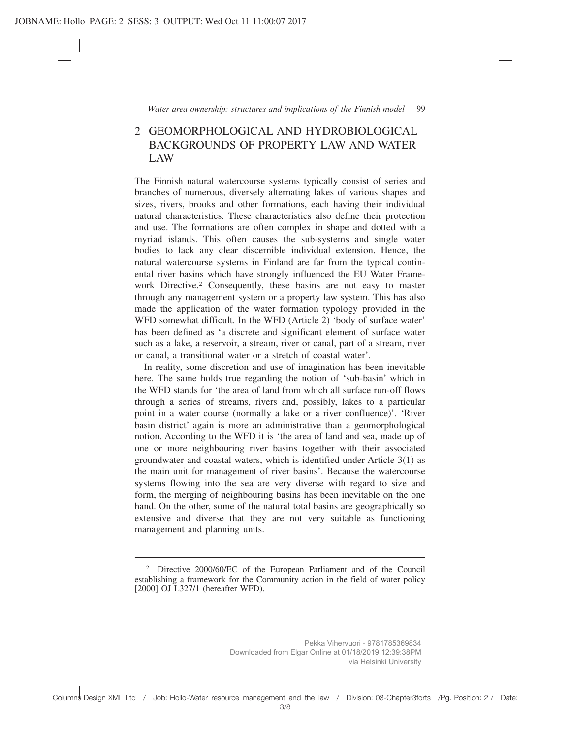# 2 GEOMORPHOLOGICAL AND HYDROBIOLOGICAL BACKGROUNDS OF PROPERTY LAW AND WATER LAW

The Finnish natural watercourse systems typically consist of series and branches of numerous, diversely alternating lakes of various shapes and sizes, rivers, brooks and other formations, each having their individual natural characteristics. These characteristics also define their protection and use. The formations are often complex in shape and dotted with a myriad islands. This often causes the sub-systems and single water bodies to lack any clear discernible individual extension. Hence, the natural watercourse systems in Finland are far from the typical continental river basins which have strongly influenced the EU Water Framework Directive.2 Consequently, these basins are not easy to master through any management system or a property law system. This has also made the application of the water formation typology provided in the WFD somewhat difficult. In the WFD (Article 2) 'body of surface water' has been defined as 'a discrete and significant element of surface water such as a lake, a reservoir, a stream, river or canal, part of a stream, river or canal, a transitional water or a stretch of coastal water'.

In reality, some discretion and use of imagination has been inevitable here. The same holds true regarding the notion of 'sub-basin' which in the WFD stands for 'the area of land from which all surface run-off flows through a series of streams, rivers and, possibly, lakes to a particular point in a water course (normally a lake or a river confluence)'. 'River basin district' again is more an administrative than a geomorphological notion. According to the WFD it is 'the area of land and sea, made up of one or more neighbouring river basins together with their associated groundwater and coastal waters, which is identified under Article 3(1) as the main unit for management of river basins'. Because the watercourse systems flowing into the sea are very diverse with regard to size and form, the merging of neighbouring basins has been inevitable on the one hand. On the other, some of the natural total basins are geographically so extensive and diverse that they are not very suitable as functioning management and planning units.

<sup>2</sup> Directive 2000/60/EC of the European Parliament and of the Council establishing a framework for the Community action in the field of water policy [2000] OJ L327/1 (hereafter WFD).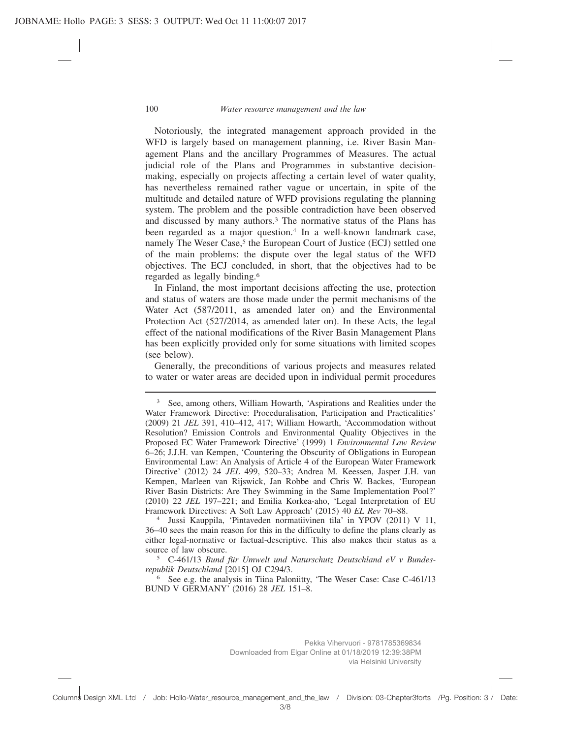Notoriously, the integrated management approach provided in the WFD is largely based on management planning, i.e. River Basin Management Plans and the ancillary Programmes of Measures. The actual judicial role of the Plans and Programmes in substantive decisionmaking, especially on projects affecting a certain level of water quality, has nevertheless remained rather vague or uncertain, in spite of the multitude and detailed nature of WFD provisions regulating the planning system. The problem and the possible contradiction have been observed and discussed by many authors.<sup>3</sup> The normative status of the Plans has been regarded as a major question.<sup>4</sup> In a well-known landmark case, namely The Weser Case,<sup>5</sup> the European Court of Justice (ECJ) settled one of the main problems: the dispute over the legal status of the WFD objectives. The ECJ concluded, in short, that the objectives had to be regarded as legally binding.6

In Finland, the most important decisions affecting the use, protection and status of waters are those made under the permit mechanisms of the Water Act (587/2011, as amended later on) and the Environmental Protection Act (527/2014, as amended later on). In these Acts, the legal effect of the national modifications of the River Basin Management Plans has been explicitly provided only for some situations with limited scopes (see below).

Generally, the preconditions of various projects and measures related to water or water areas are decided upon in individual permit procedures

<sup>4</sup> Jussi Kauppila, 'Pintaveden normatiivinen tila' in YPOV (2011) V 11, 36–40 sees the main reason for this in the difficulty to define the plans clearly as either legal-normative or factual-descriptive. This also makes their status as a source of law obscure.

<sup>5</sup> C-461/13 *Bund für Umwelt und Naturschutz Deutschland eV v Bundesrepublik Deutschland* [2015] OJ C294/3.

<sup>6</sup> See e.g. the analysis in Tiina Paloniitty, 'The Weser Case: Case C-461/13 BUND V GERMANY' (2016) 28 *JEL* 151–8.

<sup>&</sup>lt;sup>3</sup> See, among others, William Howarth, 'Aspirations and Realities under the Water Framework Directive: Proceduralisation, Participation and Practicalities' (2009) 21 *JEL* 391, 410–412, 417; William Howarth, 'Accommodation without Resolution? Emission Controls and Environmental Quality Objectives in the Proposed EC Water Framework Directive' (1999) 1 *Environmental Law Review* 6–26; J.J.H. van Kempen, 'Countering the Obscurity of Obligations in European Environmental Law: An Analysis of Article 4 of the European Water Framework Directive' (2012) 24 *JEL* 499, 520–33; Andrea M. Keessen, Jasper J.H. van Kempen, Marleen van Rijswick, Jan Robbe and Chris W. Backes, 'European River Basin Districts: Are They Swimming in the Same Implementation Pool?' (2010) 22 *JEL* 197–221; and Emilia Korkea-aho, 'Legal Interpretation of EU Framework Directives: A Soft Law Approach' (2015) 40 *EL Rev* 70–88.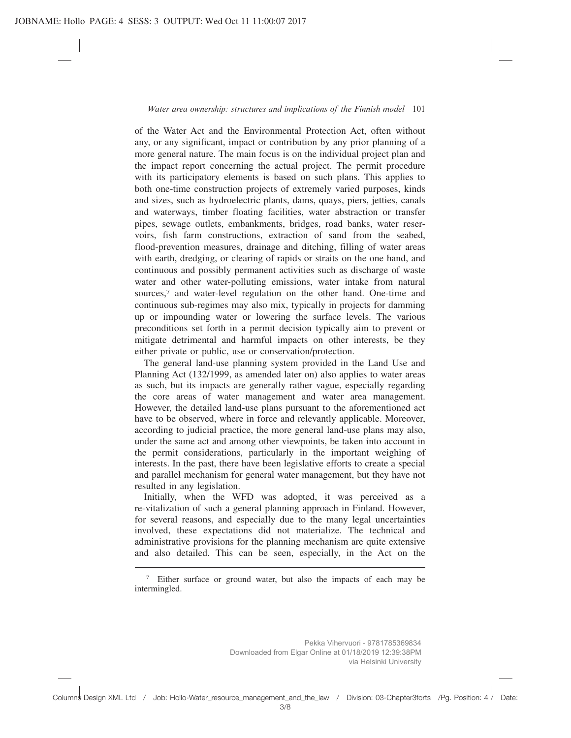of the Water Act and the Environmental Protection Act, often without any, or any significant, impact or contribution by any prior planning of a more general nature. The main focus is on the individual project plan and the impact report concerning the actual project. The permit procedure with its participatory elements is based on such plans. This applies to both one-time construction projects of extremely varied purposes, kinds and sizes, such as hydroelectric plants, dams, quays, piers, jetties, canals and waterways, timber floating facilities, water abstraction or transfer pipes, sewage outlets, embankments, bridges, road banks, water reservoirs, fish farm constructions, extraction of sand from the seabed, flood-prevention measures, drainage and ditching, filling of water areas with earth, dredging, or clearing of rapids or straits on the one hand, and continuous and possibly permanent activities such as discharge of waste water and other water-polluting emissions, water intake from natural sources,<sup>7</sup> and water-level regulation on the other hand. One-time and continuous sub-regimes may also mix, typically in projects for damming up or impounding water or lowering the surface levels. The various preconditions set forth in a permit decision typically aim to prevent or mitigate detrimental and harmful impacts on other interests, be they either private or public, use or conservation/protection.

The general land-use planning system provided in the Land Use and Planning Act (132/1999, as amended later on) also applies to water areas as such, but its impacts are generally rather vague, especially regarding the core areas of water management and water area management. However, the detailed land-use plans pursuant to the aforementioned act have to be observed, where in force and relevantly applicable. Moreover, according to judicial practice, the more general land-use plans may also, under the same act and among other viewpoints, be taken into account in the permit considerations, particularly in the important weighing of interests. In the past, there have been legislative efforts to create a special and parallel mechanism for general water management, but they have not resulted in any legislation.

Initially, when the WFD was adopted, it was perceived as a re-vitalization of such a general planning approach in Finland. However, for several reasons, and especially due to the many legal uncertainties involved, these expectations did not materialize. The technical and administrative provisions for the planning mechanism are quite extensive and also detailed. This can be seen, especially, in the Act on the

<sup>7</sup> Either surface or ground water, but also the impacts of each may be intermingled.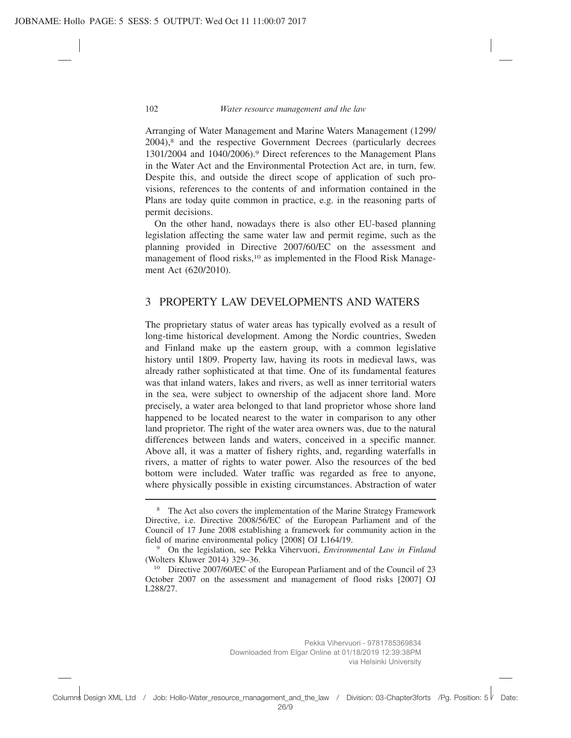Arranging of Water Management and Marine Waters Management (1299/  $2004$ ,<sup>8</sup> and the respective Government Decrees (particularly decrees 1301/2004 and 1040/2006).9 Direct references to the Management Plans in the Water Act and the Environmental Protection Act are, in turn, few. Despite this, and outside the direct scope of application of such provisions, references to the contents of and information contained in the Plans are today quite common in practice, e.g. in the reasoning parts of permit decisions.

On the other hand, nowadays there is also other EU-based planning legislation affecting the same water law and permit regime, such as the planning provided in Directive 2007/60/EC on the assessment and management of flood risks,<sup>10</sup> as implemented in the Flood Risk Management Act (620/2010).

#### 3 PROPERTY LAW DEVELOPMENTS AND WATERS

The proprietary status of water areas has typically evolved as a result of long-time historical development. Among the Nordic countries, Sweden and Finland make up the eastern group, with a common legislative history until 1809. Property law, having its roots in medieval laws, was already rather sophisticated at that time. One of its fundamental features was that inland waters, lakes and rivers, as well as inner territorial waters in the sea, were subject to ownership of the adjacent shore land. More precisely, a water area belonged to that land proprietor whose shore land happened to be located nearest to the water in comparison to any other land proprietor. The right of the water area owners was, due to the natural differences between lands and waters, conceived in a specific manner. Above all, it was a matter of fishery rights, and, regarding waterfalls in rivers, a matter of rights to water power. Also the resources of the bed bottom were included. Water traffic was regarded as free to anyone, where physically possible in existing circumstances. Abstraction of water

<sup>&</sup>lt;sup>8</sup> The Act also covers the implementation of the Marine Strategy Framework Directive, i.e. Directive 2008/56/EC of the European Parliament and of the Council of 17 June 2008 establishing a framework for community action in the field of marine environmental policy [2008] OJ L164/19.

<sup>9</sup> On the legislation, see Pekka Vihervuori, *Environmental Law in Finland* (Wolters Kluwer 2014) 329–36.

<sup>&</sup>lt;sup>10</sup> Directive 2007/60/EC of the European Parliament and of the Council of 23 October 2007 on the assessment and management of flood risks [2007] OJ L288/27.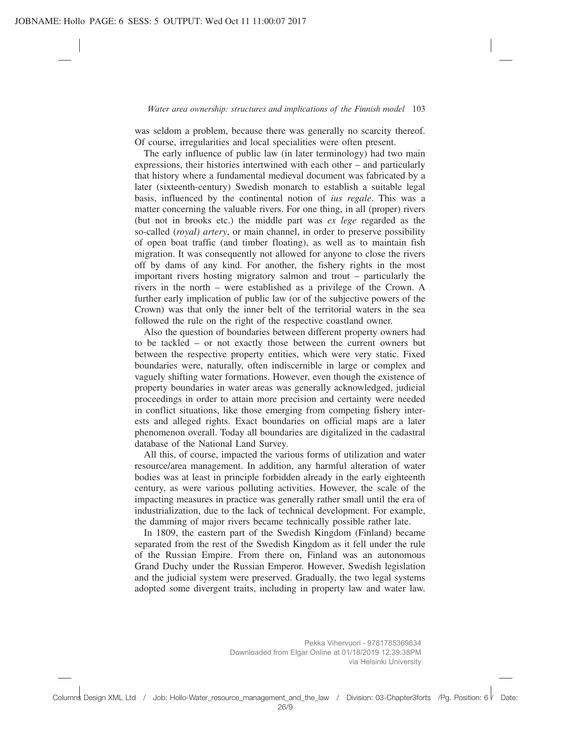was seldom a problem, because there was generally no scarcity thereof. Of course, irregularities and local specialities were often present.

The early influence of public law (in later terminology) had two main expressions, their histories intertwined with each other – and particularly that history where a fundamental medieval document was fabricated by a later (sixteenth-century) Swedish monarch to establish a suitable legal basis, influenced by the continental notion of *ius regale*. This was a matter concerning the valuable rivers. For one thing, in all (proper) rivers (but not in brooks etc.) the middle part was *ex lege* regarded as the so-called (*royal) artery*, or main channel, in order to preserve possibility of open boat traffic (and timber floating), as well as to maintain fish migration. It was consequently not allowed for anyone to close the rivers off by dams of any kind. For another, the fishery rights in the most important rivers hosting migratory salmon and trout – particularly the rivers in the north – were established as a privilege of the Crown. A further early implication of public law (or of the subjective powers of the Crown) was that only the inner belt of the territorial waters in the sea followed the rule on the right of the respective coastland owner.

Also the question of boundaries between different property owners had to be tackled – or not exactly those between the current owners but between the respective property entities, which were very static. Fixed boundaries were, naturally, often indiscernible in large or complex and vaguely shifting water formations. However, even though the existence of property boundaries in water areas was generally acknowledged, judicial proceedings in order to attain more precision and certainty were needed in conflict situations, like those emerging from competing fishery interests and alleged rights. Exact boundaries on official maps are a later phenomenon overall. Today all boundaries are digitalized in the cadastral database of the National Land Survey.

All this, of course, impacted the various forms of utilization and water resource/area management. In addition, any harmful alteration of water bodies was at least in principle forbidden already in the early eighteenth century, as were various polluting activities. However, the scale of the impacting measures in practice was generally rather small until the era of industrialization, due to the lack of technical development. For example, the damming of major rivers became technically possible rather late.

In 1809, the eastern part of the Swedish Kingdom (Finland) became separated from the rest of the Swedish Kingdom as it fell under the rule of the Russian Empire. From there on, Finland was an autonomous Grand Duchy under the Russian Emperor. However, Swedish legislation and the judicial system were preserved. Gradually, the two legal systems adopted some divergent traits, including in property law and water law.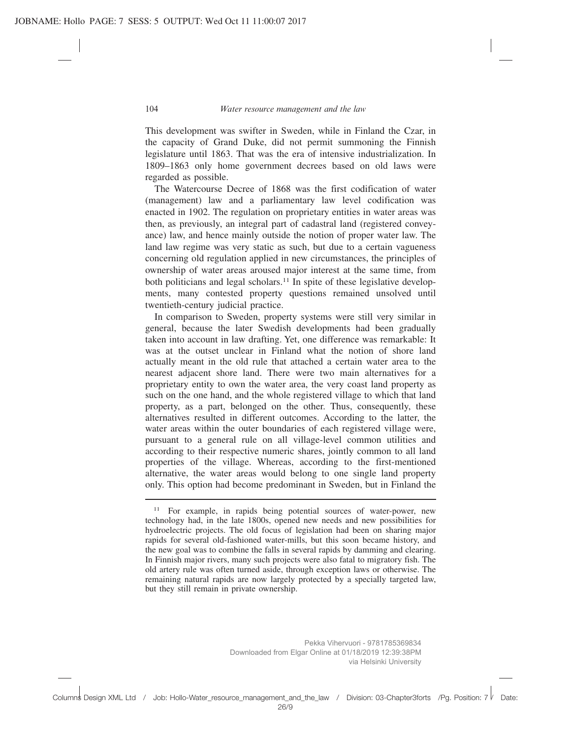This development was swifter in Sweden, while in Finland the Czar, in the capacity of Grand Duke, did not permit summoning the Finnish legislature until 1863. That was the era of intensive industrialization. In 1809–1863 only home government decrees based on old laws were regarded as possible.

The Watercourse Decree of 1868 was the first codification of water (management) law and a parliamentary law level codification was enacted in 1902. The regulation on proprietary entities in water areas was then, as previously, an integral part of cadastral land (registered conveyance) law, and hence mainly outside the notion of proper water law. The land law regime was very static as such, but due to a certain vagueness concerning old regulation applied in new circumstances, the principles of ownership of water areas aroused major interest at the same time, from both politicians and legal scholars.11 In spite of these legislative developments, many contested property questions remained unsolved until twentieth-century judicial practice.

In comparison to Sweden, property systems were still very similar in general, because the later Swedish developments had been gradually taken into account in law drafting. Yet, one difference was remarkable: It was at the outset unclear in Finland what the notion of shore land actually meant in the old rule that attached a certain water area to the nearest adjacent shore land. There were two main alternatives for a proprietary entity to own the water area, the very coast land property as such on the one hand, and the whole registered village to which that land property, as a part, belonged on the other. Thus, consequently, these alternatives resulted in different outcomes. According to the latter, the water areas within the outer boundaries of each registered village were, pursuant to a general rule on all village-level common utilities and according to their respective numeric shares, jointly common to all land properties of the village. Whereas, according to the first-mentioned alternative, the water areas would belong to one single land property only. This option had become predominant in Sweden, but in Finland the

<sup>&</sup>lt;sup>11</sup> For example, in rapids being potential sources of water-power, new technology had, in the late 1800s, opened new needs and new possibilities for hydroelectric projects. The old focus of legislation had been on sharing major rapids for several old-fashioned water-mills, but this soon became history, and the new goal was to combine the falls in several rapids by damming and clearing. In Finnish major rivers, many such projects were also fatal to migratory fish. The old artery rule was often turned aside, through exception laws or otherwise. The remaining natural rapids are now largely protected by a specially targeted law, but they still remain in private ownership.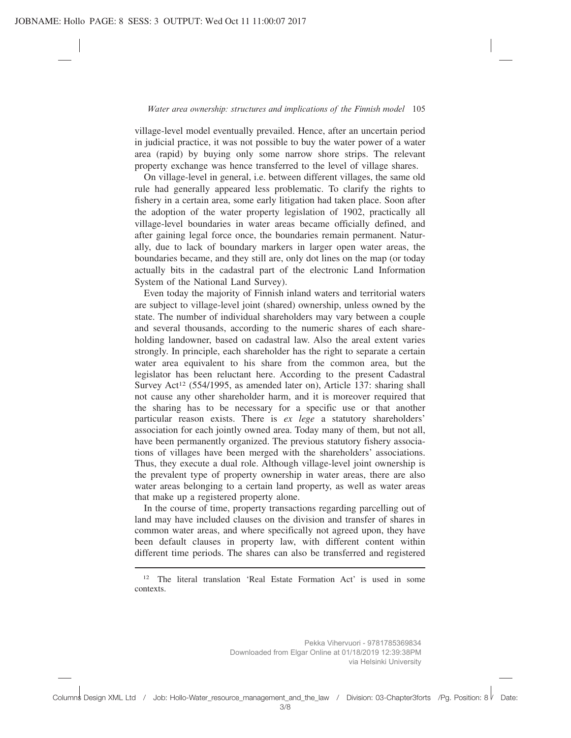village-level model eventually prevailed. Hence, after an uncertain period in judicial practice, it was not possible to buy the water power of a water area (rapid) by buying only some narrow shore strips. The relevant property exchange was hence transferred to the level of village shares.

On village-level in general, i.e. between different villages, the same old rule had generally appeared less problematic. To clarify the rights to fishery in a certain area, some early litigation had taken place. Soon after the adoption of the water property legislation of 1902, practically all village-level boundaries in water areas became officially defined, and after gaining legal force once, the boundaries remain permanent. Naturally, due to lack of boundary markers in larger open water areas, the boundaries became, and they still are, only dot lines on the map (or today actually bits in the cadastral part of the electronic Land Information System of the National Land Survey).

Even today the majority of Finnish inland waters and territorial waters are subject to village-level joint (shared) ownership, unless owned by the state. The number of individual shareholders may vary between a couple and several thousands, according to the numeric shares of each shareholding landowner, based on cadastral law. Also the areal extent varies strongly. In principle, each shareholder has the right to separate a certain water area equivalent to his share from the common area, but the legislator has been reluctant here. According to the present Cadastral Survey Act<sup>12</sup> (554/1995, as amended later on), Article 137: sharing shall not cause any other shareholder harm, and it is moreover required that the sharing has to be necessary for a specific use or that another particular reason exists. There is *ex lege* a statutory shareholders' association for each jointly owned area. Today many of them, but not all, have been permanently organized. The previous statutory fishery associations of villages have been merged with the shareholders' associations. Thus, they execute a dual role. Although village-level joint ownership is the prevalent type of property ownership in water areas, there are also water areas belonging to a certain land property, as well as water areas that make up a registered property alone.

In the course of time, property transactions regarding parcelling out of land may have included clauses on the division and transfer of shares in common water areas, and where specifically not agreed upon, they have been default clauses in property law, with different content within different time periods. The shares can also be transferred and registered

<sup>&</sup>lt;sup>12</sup> The literal translation 'Real Estate Formation Act' is used in some contexts.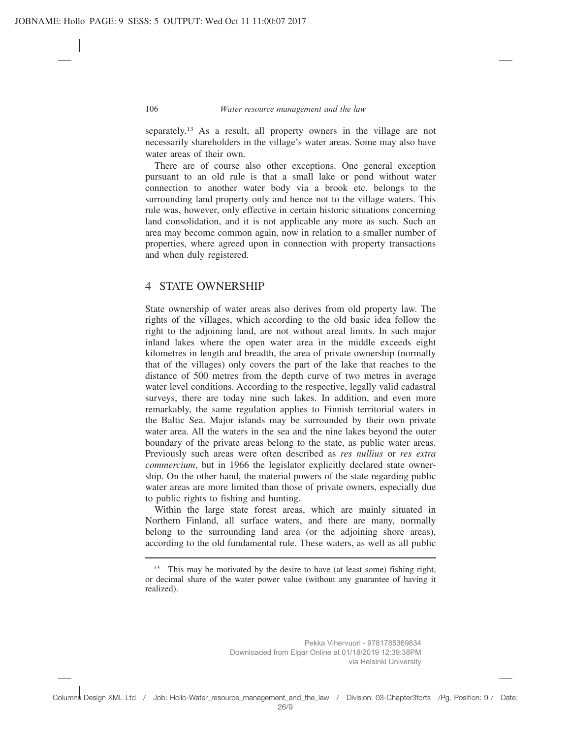separately.13 As a result, all property owners in the village are not necessarily shareholders in the village's water areas. Some may also have water areas of their own.

There are of course also other exceptions. One general exception pursuant to an old rule is that a small lake or pond without water connection to another water body via a brook etc. belongs to the surrounding land property only and hence not to the village waters. This rule was, however, only effective in certain historic situations concerning land consolidation, and it is not applicable any more as such. Such an area may become common again, now in relation to a smaller number of properties, where agreed upon in connection with property transactions and when duly registered.

#### 4 STATE OWNERSHIP

State ownership of water areas also derives from old property law. The rights of the villages, which according to the old basic idea follow the right to the adjoining land, are not without areal limits. In such major inland lakes where the open water area in the middle exceeds eight kilometres in length and breadth, the area of private ownership (normally that of the villages) only covers the part of the lake that reaches to the distance of 500 metres from the depth curve of two metres in average water level conditions. According to the respective, legally valid cadastral surveys, there are today nine such lakes. In addition, and even more remarkably, the same regulation applies to Finnish territorial waters in the Baltic Sea. Major islands may be surrounded by their own private water area. All the waters in the sea and the nine lakes beyond the outer boundary of the private areas belong to the state, as public water areas. Previously such areas were often described as *res nullius* or *res extra commercium*, but in 1966 the legislator explicitly declared state ownership. On the other hand, the material powers of the state regarding public water areas are more limited than those of private owners, especially due to public rights to fishing and hunting.

Within the large state forest areas, which are mainly situated in Northern Finland, all surface waters, and there are many, normally belong to the surrounding land area (or the adjoining shore areas), according to the old fundamental rule. These waters, as well as all public

<sup>&</sup>lt;sup>13</sup> This may be motivated by the desire to have (at least some) fishing right, or decimal share of the water power value (without any guarantee of having it realized).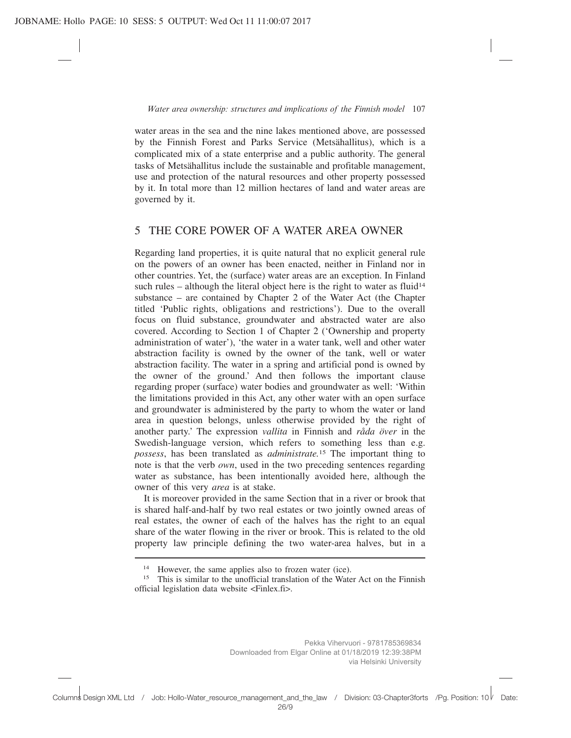water areas in the sea and the nine lakes mentioned above, are possessed by the Finnish Forest and Parks Service (Metsähallitus), which is a complicated mix of a state enterprise and a public authority. The general tasks of Metsähallitus include the sustainable and profitable management, use and protection of the natural resources and other property possessed by it. In total more than 12 million hectares of land and water areas are governed by it.

## 5 THE CORE POWER OF A WATER AREA OWNER

Regarding land properties, it is quite natural that no explicit general rule on the powers of an owner has been enacted, neither in Finland nor in other countries. Yet, the (surface) water areas are an exception. In Finland such rules – although the literal object here is the right to water as fluid<sup>14</sup> substance – are contained by Chapter 2 of the Water Act (the Chapter titled 'Public rights, obligations and restrictions'). Due to the overall focus on fluid substance, groundwater and abstracted water are also covered. According to Section 1 of Chapter 2 ('Ownership and property administration of water'), 'the water in a water tank, well and other water abstraction facility is owned by the owner of the tank, well or water abstraction facility. The water in a spring and artificial pond is owned by the owner of the ground.' And then follows the important clause regarding proper (surface) water bodies and groundwater as well: 'Within the limitations provided in this Act, any other water with an open surface and groundwater is administered by the party to whom the water or land area in question belongs, unless otherwise provided by the right of another party.' The expression *vallita* in Finnish and *råda över* in the Swedish-language version, which refers to something less than e.g. *possess*, has been translated as *administrate.*<sup>15</sup> The important thing to note is that the verb *own*, used in the two preceding sentences regarding water as substance, has been intentionally avoided here, although the owner of this very *area* is at stake.

It is moreover provided in the same Section that in a river or brook that is shared half-and-half by two real estates or two jointly owned areas of real estates, the owner of each of the halves has the right to an equal share of the water flowing in the river or brook. This is related to the old property law principle defining the two water-area halves, but in a

<sup>14</sup> However, the same applies also to frozen water (ice).

<sup>&</sup>lt;sup>15</sup> This is similar to the unofficial translation of the Water Act on the Finnish official legislation data website <Finlex.fi>.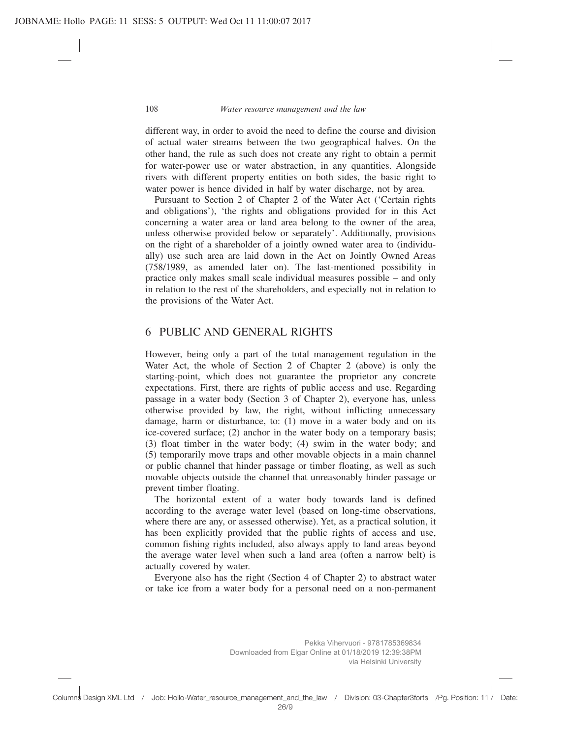different way, in order to avoid the need to define the course and division of actual water streams between the two geographical halves. On the other hand, the rule as such does not create any right to obtain a permit for water-power use or water abstraction, in any quantities. Alongside rivers with different property entities on both sides, the basic right to water power is hence divided in half by water discharge, not by area.

Pursuant to Section 2 of Chapter 2 of the Water Act ('Certain rights and obligations'), 'the rights and obligations provided for in this Act concerning a water area or land area belong to the owner of the area, unless otherwise provided below or separately'. Additionally, provisions on the right of a shareholder of a jointly owned water area to (individually) use such area are laid down in the Act on Jointly Owned Areas (758/1989, as amended later on). The last-mentioned possibility in practice only makes small scale individual measures possible – and only in relation to the rest of the shareholders, and especially not in relation to the provisions of the Water Act.

### 6 PUBLIC AND GENERAL RIGHTS

However, being only a part of the total management regulation in the Water Act, the whole of Section 2 of Chapter 2 (above) is only the starting-point, which does not guarantee the proprietor any concrete expectations. First, there are rights of public access and use. Regarding passage in a water body (Section 3 of Chapter 2), everyone has, unless otherwise provided by law, the right, without inflicting unnecessary damage, harm or disturbance, to: (1) move in a water body and on its ice-covered surface; (2) anchor in the water body on a temporary basis; (3) float timber in the water body; (4) swim in the water body; and (5) temporarily move traps and other movable objects in a main channel or public channel that hinder passage or timber floating, as well as such movable objects outside the channel that unreasonably hinder passage or prevent timber floating.

The horizontal extent of a water body towards land is defined according to the average water level (based on long-time observations, where there are any, or assessed otherwise). Yet, as a practical solution, it has been explicitly provided that the public rights of access and use, common fishing rights included, also always apply to land areas beyond the average water level when such a land area (often a narrow belt) is actually covered by water.

Everyone also has the right (Section 4 of Chapter 2) to abstract water or take ice from a water body for a personal need on a non-permanent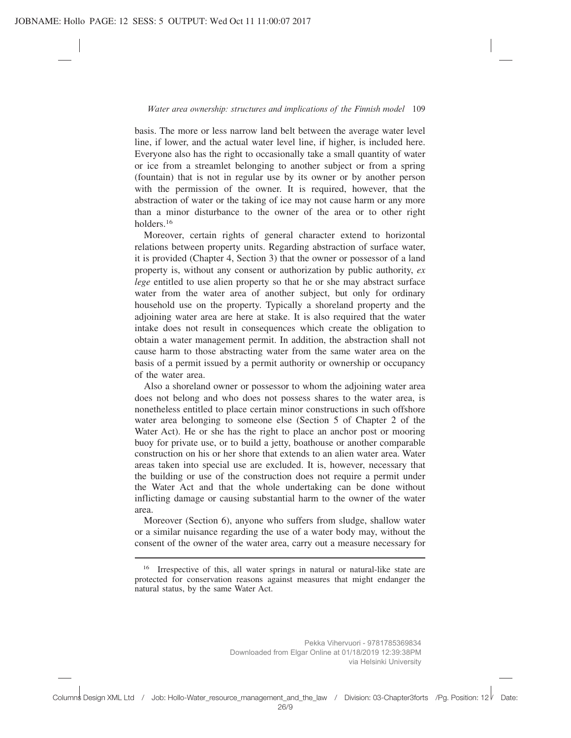basis. The more or less narrow land belt between the average water level line, if lower, and the actual water level line, if higher, is included here. Everyone also has the right to occasionally take a small quantity of water or ice from a streamlet belonging to another subject or from a spring (fountain) that is not in regular use by its owner or by another person with the permission of the owner. It is required, however, that the abstraction of water or the taking of ice may not cause harm or any more than a minor disturbance to the owner of the area or to other right holders.16

Moreover, certain rights of general character extend to horizontal relations between property units. Regarding abstraction of surface water, it is provided (Chapter 4, Section 3) that the owner or possessor of a land property is, without any consent or authorization by public authority, *ex lege* entitled to use alien property so that he or she may abstract surface water from the water area of another subject, but only for ordinary household use on the property. Typically a shoreland property and the adjoining water area are here at stake. It is also required that the water intake does not result in consequences which create the obligation to obtain a water management permit. In addition, the abstraction shall not cause harm to those abstracting water from the same water area on the basis of a permit issued by a permit authority or ownership or occupancy of the water area.

Also a shoreland owner or possessor to whom the adjoining water area does not belong and who does not possess shares to the water area, is nonetheless entitled to place certain minor constructions in such offshore water area belonging to someone else (Section 5 of Chapter 2 of the Water Act). He or she has the right to place an anchor post or mooring buoy for private use, or to build a jetty, boathouse or another comparable construction on his or her shore that extends to an alien water area. Water areas taken into special use are excluded. It is, however, necessary that the building or use of the construction does not require a permit under the Water Act and that the whole undertaking can be done without inflicting damage or causing substantial harm to the owner of the water area.

Moreover (Section 6), anyone who suffers from sludge, shallow water or a similar nuisance regarding the use of a water body may, without the consent of the owner of the water area, carry out a measure necessary for

Irrespective of this, all water springs in natural or natural-like state are protected for conservation reasons against measures that might endanger the natural status, by the same Water Act.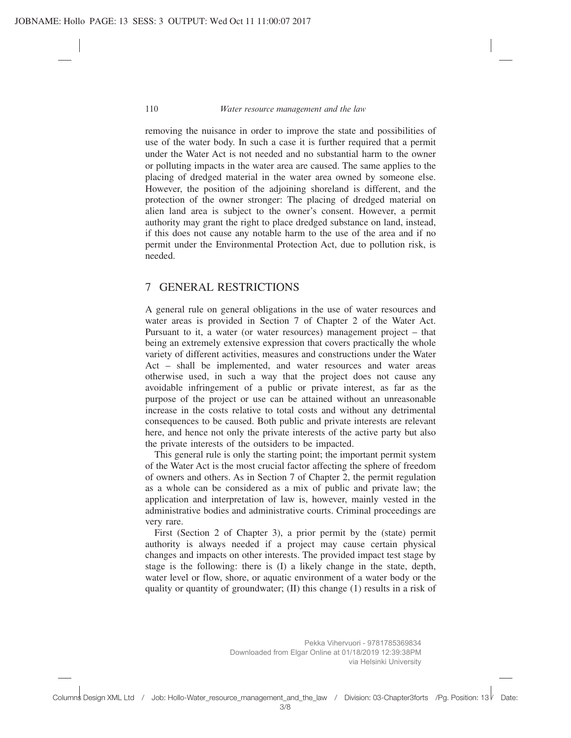removing the nuisance in order to improve the state and possibilities of use of the water body. In such a case it is further required that a permit under the Water Act is not needed and no substantial harm to the owner or polluting impacts in the water area are caused. The same applies to the placing of dredged material in the water area owned by someone else. However, the position of the adjoining shoreland is different, and the protection of the owner stronger: The placing of dredged material on alien land area is subject to the owner's consent. However, a permit authority may grant the right to place dredged substance on land, instead, if this does not cause any notable harm to the use of the area and if no permit under the Environmental Protection Act, due to pollution risk, is needed.

#### 7 GENERAL RESTRICTIONS

A general rule on general obligations in the use of water resources and water areas is provided in Section 7 of Chapter 2 of the Water Act. Pursuant to it, a water (or water resources) management project – that being an extremely extensive expression that covers practically the whole variety of different activities, measures and constructions under the Water Act – shall be implemented, and water resources and water areas otherwise used, in such a way that the project does not cause any avoidable infringement of a public or private interest, as far as the purpose of the project or use can be attained without an unreasonable increase in the costs relative to total costs and without any detrimental consequences to be caused. Both public and private interests are relevant here, and hence not only the private interests of the active party but also the private interests of the outsiders to be impacted.

This general rule is only the starting point; the important permit system of the Water Act is the most crucial factor affecting the sphere of freedom of owners and others. As in Section 7 of Chapter 2, the permit regulation as a whole can be considered as a mix of public and private law; the application and interpretation of law is, however, mainly vested in the administrative bodies and administrative courts. Criminal proceedings are very rare.

First (Section 2 of Chapter 3), a prior permit by the (state) permit authority is always needed if a project may cause certain physical changes and impacts on other interests. The provided impact test stage by stage is the following: there is (I) a likely change in the state, depth, water level or flow, shore, or aquatic environment of a water body or the quality or quantity of groundwater; (II) this change (1) results in a risk of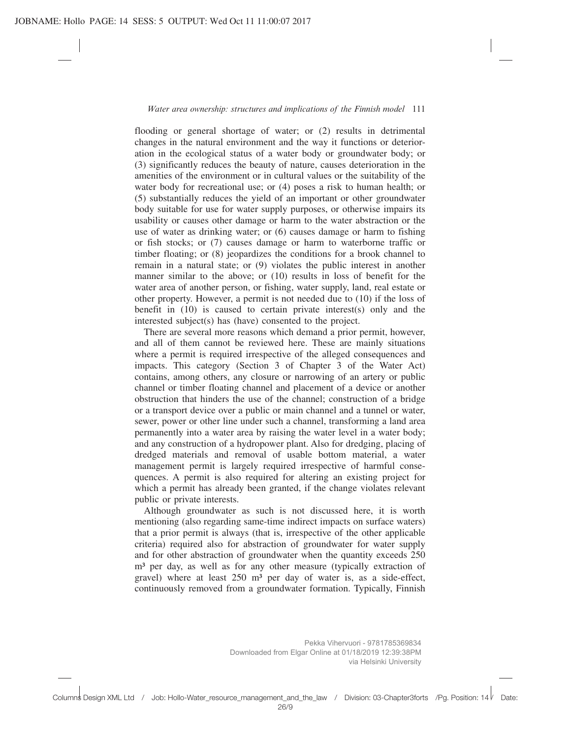flooding or general shortage of water; or (2) results in detrimental changes in the natural environment and the way it functions or deterioration in the ecological status of a water body or groundwater body; or (3) significantly reduces the beauty of nature, causes deterioration in the amenities of the environment or in cultural values or the suitability of the water body for recreational use; or (4) poses a risk to human health; or (5) substantially reduces the yield of an important or other groundwater body suitable for use for water supply purposes, or otherwise impairs its usability or causes other damage or harm to the water abstraction or the use of water as drinking water; or (6) causes damage or harm to fishing or fish stocks; or (7) causes damage or harm to waterborne traffic or timber floating; or (8) jeopardizes the conditions for a brook channel to remain in a natural state; or (9) violates the public interest in another manner similar to the above; or (10) results in loss of benefit for the water area of another person, or fishing, water supply, land, real estate or other property. However, a permit is not needed due to (10) if the loss of benefit in (10) is caused to certain private interest(s) only and the interested subject(s) has (have) consented to the project.

There are several more reasons which demand a prior permit, however, and all of them cannot be reviewed here. These are mainly situations where a permit is required irrespective of the alleged consequences and impacts. This category (Section 3 of Chapter 3 of the Water Act) contains, among others, any closure or narrowing of an artery or public channel or timber floating channel and placement of a device or another obstruction that hinders the use of the channel; construction of a bridge or a transport device over a public or main channel and a tunnel or water, sewer, power or other line under such a channel, transforming a land area permanently into a water area by raising the water level in a water body; and any construction of a hydropower plant. Also for dredging, placing of dredged materials and removal of usable bottom material, a water management permit is largely required irrespective of harmful consequences. A permit is also required for altering an existing project for which a permit has already been granted, if the change violates relevant public or private interests.

Although groundwater as such is not discussed here, it is worth mentioning (also regarding same-time indirect impacts on surface waters) that a prior permit is always (that is, irrespective of the other applicable criteria) required also for abstraction of groundwater for water supply and for other abstraction of groundwater when the quantity exceeds 250 m<sup>3</sup> per day, as well as for any other measure (typically extraction of gravel) where at least  $250 \text{ m}^3$  per day of water is, as a side-effect, continuously removed from a groundwater formation. Typically, Finnish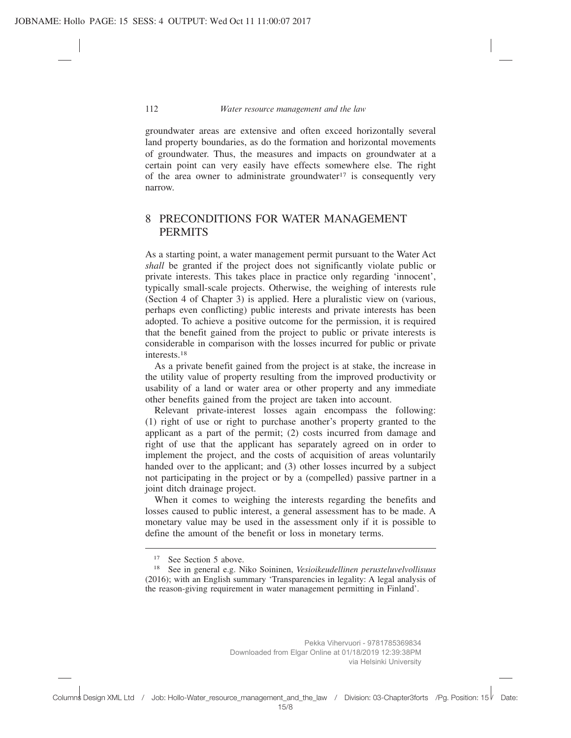groundwater areas are extensive and often exceed horizontally several land property boundaries, as do the formation and horizontal movements of groundwater. Thus, the measures and impacts on groundwater at a certain point can very easily have effects somewhere else. The right of the area owner to administrate groundwater<sup>17</sup> is consequently very narrow.

## 8 PRECONDITIONS FOR WATER MANAGEMENT **PERMITS**

As a starting point, a water management permit pursuant to the Water Act *shall* be granted if the project does not significantly violate public or private interests. This takes place in practice only regarding 'innocent', typically small-scale projects. Otherwise, the weighing of interests rule (Section 4 of Chapter 3) is applied. Here a pluralistic view on (various, perhaps even conflicting) public interests and private interests has been adopted. To achieve a positive outcome for the permission, it is required that the benefit gained from the project to public or private interests is considerable in comparison with the losses incurred for public or private interests.18

As a private benefit gained from the project is at stake, the increase in the utility value of property resulting from the improved productivity or usability of a land or water area or other property and any immediate other benefits gained from the project are taken into account.

Relevant private-interest losses again encompass the following: (1) right of use or right to purchase another's property granted to the applicant as a part of the permit; (2) costs incurred from damage and right of use that the applicant has separately agreed on in order to implement the project, and the costs of acquisition of areas voluntarily handed over to the applicant; and (3) other losses incurred by a subject not participating in the project or by a (compelled) passive partner in a joint ditch drainage project.

When it comes to weighing the interests regarding the benefits and losses caused to public interest, a general assessment has to be made. A monetary value may be used in the assessment only if it is possible to define the amount of the benefit or loss in monetary terms.

<sup>&</sup>lt;sup>17</sup> See Section 5 above.

<sup>18</sup> See in general e.g. Niko Soininen, *Vesioikeudellinen perusteluvelvollisuus* (2016); with an English summary 'Transparencies in legality: A legal analysis of the reason-giving requirement in water management permitting in Finland'.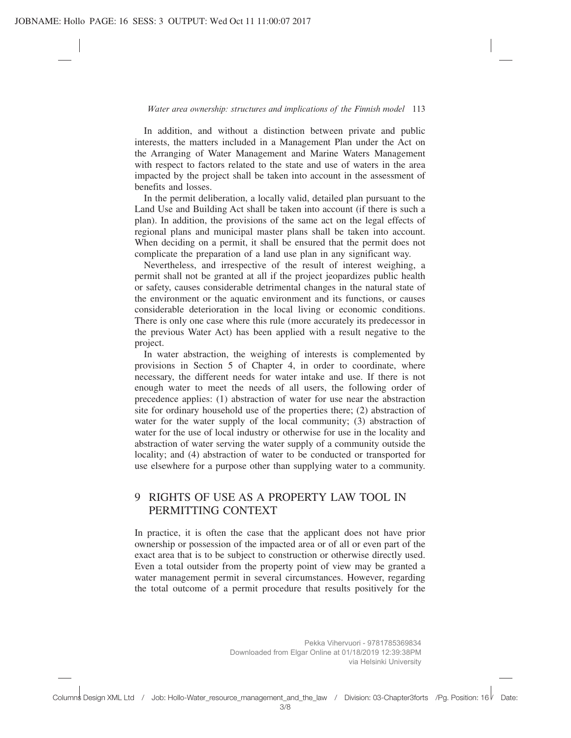In addition, and without a distinction between private and public interests, the matters included in a Management Plan under the Act on the Arranging of Water Management and Marine Waters Management with respect to factors related to the state and use of waters in the area impacted by the project shall be taken into account in the assessment of benefits and losses.

In the permit deliberation, a locally valid, detailed plan pursuant to the Land Use and Building Act shall be taken into account (if there is such a plan). In addition, the provisions of the same act on the legal effects of regional plans and municipal master plans shall be taken into account. When deciding on a permit, it shall be ensured that the permit does not complicate the preparation of a land use plan in any significant way.

Nevertheless, and irrespective of the result of interest weighing, a permit shall not be granted at all if the project jeopardizes public health or safety, causes considerable detrimental changes in the natural state of the environment or the aquatic environment and its functions, or causes considerable deterioration in the local living or economic conditions. There is only one case where this rule (more accurately its predecessor in the previous Water Act) has been applied with a result negative to the project.

In water abstraction, the weighing of interests is complemented by provisions in Section 5 of Chapter 4, in order to coordinate, where necessary, the different needs for water intake and use. If there is not enough water to meet the needs of all users, the following order of precedence applies: (1) abstraction of water for use near the abstraction site for ordinary household use of the properties there; (2) abstraction of water for the water supply of the local community; (3) abstraction of water for the use of local industry or otherwise for use in the locality and abstraction of water serving the water supply of a community outside the locality; and (4) abstraction of water to be conducted or transported for use elsewhere for a purpose other than supplying water to a community.

## 9 RIGHTS OF USE AS A PROPERTY LAW TOOL IN PERMITTING CONTEXT

In practice, it is often the case that the applicant does not have prior ownership or possession of the impacted area or of all or even part of the exact area that is to be subject to construction or otherwise directly used. Even a total outsider from the property point of view may be granted a water management permit in several circumstances. However, regarding the total outcome of a permit procedure that results positively for the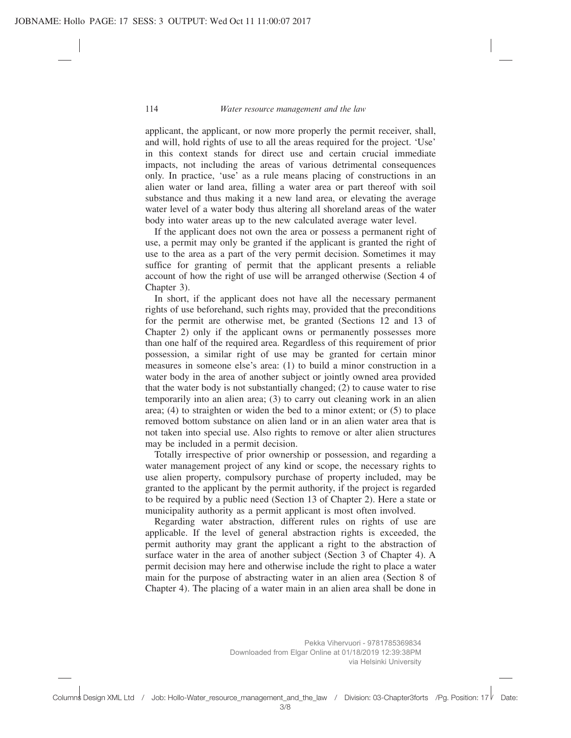applicant, the applicant, or now more properly the permit receiver, shall, and will, hold rights of use to all the areas required for the project. 'Use' in this context stands for direct use and certain crucial immediate impacts, not including the areas of various detrimental consequences only. In practice, 'use' as a rule means placing of constructions in an alien water or land area, filling a water area or part thereof with soil substance and thus making it a new land area, or elevating the average water level of a water body thus altering all shoreland areas of the water body into water areas up to the new calculated average water level.

If the applicant does not own the area or possess a permanent right of use, a permit may only be granted if the applicant is granted the right of use to the area as a part of the very permit decision. Sometimes it may suffice for granting of permit that the applicant presents a reliable account of how the right of use will be arranged otherwise (Section 4 of Chapter 3).

In short, if the applicant does not have all the necessary permanent rights of use beforehand, such rights may, provided that the preconditions for the permit are otherwise met, be granted (Sections 12 and 13 of Chapter 2) only if the applicant owns or permanently possesses more than one half of the required area. Regardless of this requirement of prior possession, a similar right of use may be granted for certain minor measures in someone else's area: (1) to build a minor construction in a water body in the area of another subject or jointly owned area provided that the water body is not substantially changed; (2) to cause water to rise temporarily into an alien area; (3) to carry out cleaning work in an alien area; (4) to straighten or widen the bed to a minor extent; or (5) to place removed bottom substance on alien land or in an alien water area that is not taken into special use. Also rights to remove or alter alien structures may be included in a permit decision.

Totally irrespective of prior ownership or possession, and regarding a water management project of any kind or scope, the necessary rights to use alien property, compulsory purchase of property included, may be granted to the applicant by the permit authority, if the project is regarded to be required by a public need (Section 13 of Chapter 2). Here a state or municipality authority as a permit applicant is most often involved.

Regarding water abstraction, different rules on rights of use are applicable. If the level of general abstraction rights is exceeded, the permit authority may grant the applicant a right to the abstraction of surface water in the area of another subject (Section 3 of Chapter 4). A permit decision may here and otherwise include the right to place a water main for the purpose of abstracting water in an alien area (Section 8 of Chapter 4). The placing of a water main in an alien area shall be done in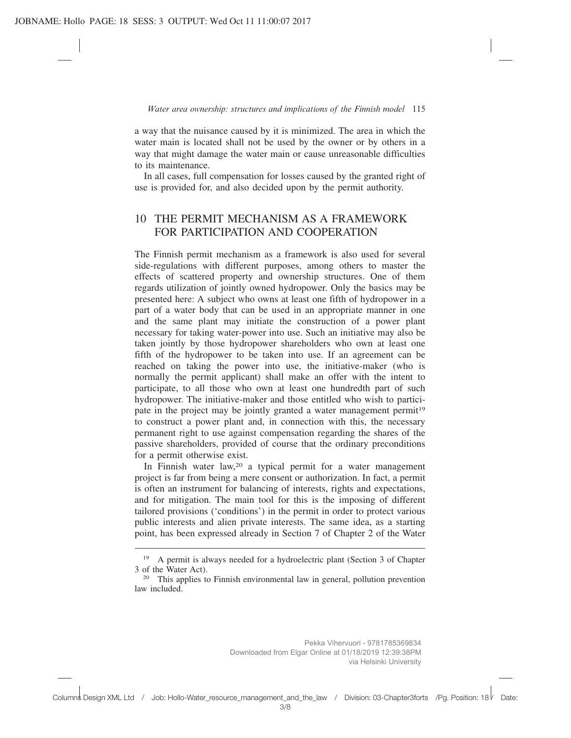a way that the nuisance caused by it is minimized. The area in which the water main is located shall not be used by the owner or by others in a way that might damage the water main or cause unreasonable difficulties to its maintenance.

In all cases, full compensation for losses caused by the granted right of use is provided for, and also decided upon by the permit authority.

## 10 THE PERMIT MECHANISM AS A FRAMEWORK FOR PARTICIPATION AND COOPERATION

The Finnish permit mechanism as a framework is also used for several side-regulations with different purposes, among others to master the effects of scattered property and ownership structures. One of them regards utilization of jointly owned hydropower. Only the basics may be presented here: A subject who owns at least one fifth of hydropower in a part of a water body that can be used in an appropriate manner in one and the same plant may initiate the construction of a power plant necessary for taking water-power into use. Such an initiative may also be taken jointly by those hydropower shareholders who own at least one fifth of the hydropower to be taken into use. If an agreement can be reached on taking the power into use, the initiative-maker (who is normally the permit applicant) shall make an offer with the intent to participate, to all those who own at least one hundredth part of such hydropower. The initiative-maker and those entitled who wish to participate in the project may be jointly granted a water management permit<sup>19</sup> to construct a power plant and, in connection with this, the necessary permanent right to use against compensation regarding the shares of the passive shareholders, provided of course that the ordinary preconditions for a permit otherwise exist.

In Finnish water law,<sup>20</sup> a typical permit for a water management project is far from being a mere consent or authorization. In fact, a permit is often an instrument for balancing of interests, rights and expectations, and for mitigation. The main tool for this is the imposing of different tailored provisions ('conditions') in the permit in order to protect various public interests and alien private interests. The same idea, as a starting point, has been expressed already in Section 7 of Chapter 2 of the Water

<sup>19</sup> A permit is always needed for a hydroelectric plant (Section 3 of Chapter 3 of the Water Act).

<sup>&</sup>lt;sup>20</sup> This applies to Finnish environmental law in general, pollution prevention law included.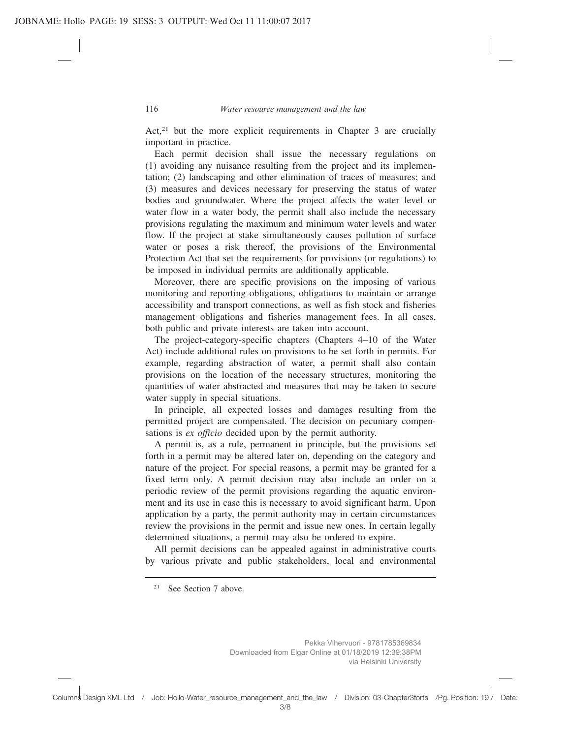Act,<sup>21</sup> but the more explicit requirements in Chapter 3 are crucially important in practice.

Each permit decision shall issue the necessary regulations on (1) avoiding any nuisance resulting from the project and its implementation; (2) landscaping and other elimination of traces of measures; and (3) measures and devices necessary for preserving the status of water bodies and groundwater. Where the project affects the water level or water flow in a water body, the permit shall also include the necessary provisions regulating the maximum and minimum water levels and water flow. If the project at stake simultaneously causes pollution of surface water or poses a risk thereof, the provisions of the Environmental Protection Act that set the requirements for provisions (or regulations) to be imposed in individual permits are additionally applicable.

Moreover, there are specific provisions on the imposing of various monitoring and reporting obligations, obligations to maintain or arrange accessibility and transport connections, as well as fish stock and fisheries management obligations and fisheries management fees. In all cases, both public and private interests are taken into account.

The project-category-specific chapters (Chapters 4–10 of the Water Act) include additional rules on provisions to be set forth in permits. For example, regarding abstraction of water, a permit shall also contain provisions on the location of the necessary structures, monitoring the quantities of water abstracted and measures that may be taken to secure water supply in special situations.

In principle, all expected losses and damages resulting from the permitted project are compensated. The decision on pecuniary compensations is *ex officio* decided upon by the permit authority.

A permit is, as a rule, permanent in principle, but the provisions set forth in a permit may be altered later on, depending on the category and nature of the project. For special reasons, a permit may be granted for a fixed term only. A permit decision may also include an order on a periodic review of the permit provisions regarding the aquatic environment and its use in case this is necessary to avoid significant harm. Upon application by a party, the permit authority may in certain circumstances review the provisions in the permit and issue new ones. In certain legally determined situations, a permit may also be ordered to expire.

All permit decisions can be appealed against in administrative courts by various private and public stakeholders, local and environmental

<sup>21</sup> See Section 7 above.